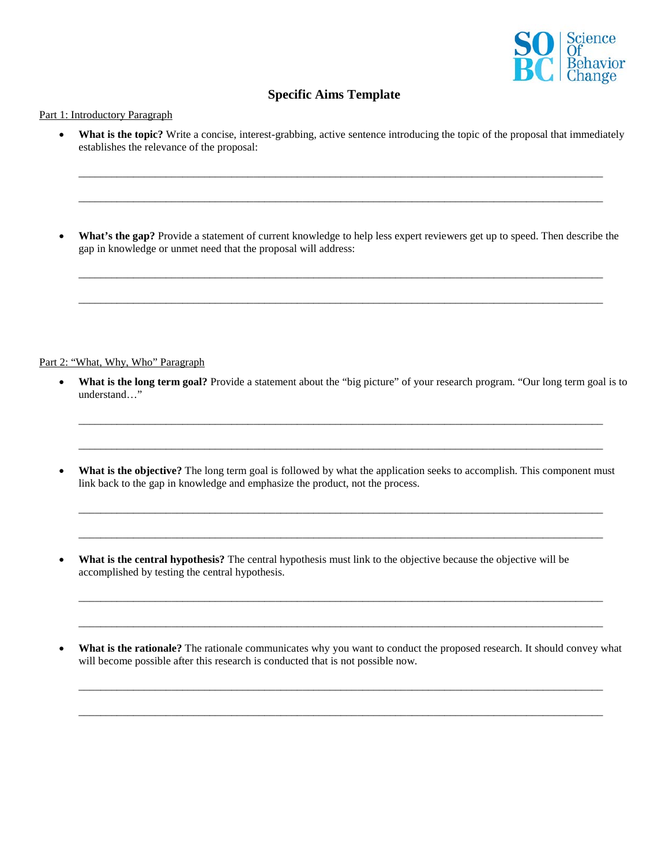

## **Specific Aims Template**

## Part 1: Introductory Paragraph

• **What is the topic?** Write a concise, interest-grabbing, active sentence introducing the topic of the proposal that immediately establishes the relevance of the proposal:

\_\_\_\_\_\_\_\_\_\_\_\_\_\_\_\_\_\_\_\_\_\_\_\_\_\_\_\_\_\_\_\_\_\_\_\_\_\_\_\_\_\_\_\_\_\_\_\_\_\_\_\_\_\_\_\_\_\_\_\_\_\_\_\_\_\_\_\_\_\_\_\_\_\_\_\_\_\_\_\_\_\_\_\_\_\_\_\_\_\_\_\_\_\_\_\_

\_\_\_\_\_\_\_\_\_\_\_\_\_\_\_\_\_\_\_\_\_\_\_\_\_\_\_\_\_\_\_\_\_\_\_\_\_\_\_\_\_\_\_\_\_\_\_\_\_\_\_\_\_\_\_\_\_\_\_\_\_\_\_\_\_\_\_\_\_\_\_\_\_\_\_\_\_\_\_\_\_\_\_\_\_\_\_\_\_\_\_\_\_\_\_\_

• **What's the gap?** Provide a statement of current knowledge to help less expert reviewers get up to speed. Then describe the gap in knowledge or unmet need that the proposal will address:

\_\_\_\_\_\_\_\_\_\_\_\_\_\_\_\_\_\_\_\_\_\_\_\_\_\_\_\_\_\_\_\_\_\_\_\_\_\_\_\_\_\_\_\_\_\_\_\_\_\_\_\_\_\_\_\_\_\_\_\_\_\_\_\_\_\_\_\_\_\_\_\_\_\_\_\_\_\_\_\_\_\_\_\_\_\_\_\_\_\_\_\_\_\_\_\_

\_\_\_\_\_\_\_\_\_\_\_\_\_\_\_\_\_\_\_\_\_\_\_\_\_\_\_\_\_\_\_\_\_\_\_\_\_\_\_\_\_\_\_\_\_\_\_\_\_\_\_\_\_\_\_\_\_\_\_\_\_\_\_\_\_\_\_\_\_\_\_\_\_\_\_\_\_\_\_\_\_\_\_\_\_\_\_\_\_\_\_\_\_\_\_\_

## Part 2: "What, Why, Who" Paragraph

• What is the long term goal? Provide a statement about the "big picture" of your research program. "Our long term goal is to understand…"

\_\_\_\_\_\_\_\_\_\_\_\_\_\_\_\_\_\_\_\_\_\_\_\_\_\_\_\_\_\_\_\_\_\_\_\_\_\_\_\_\_\_\_\_\_\_\_\_\_\_\_\_\_\_\_\_\_\_\_\_\_\_\_\_\_\_\_\_\_\_\_\_\_\_\_\_\_\_\_\_\_\_\_\_\_\_\_\_\_\_\_\_\_\_\_\_

\_\_\_\_\_\_\_\_\_\_\_\_\_\_\_\_\_\_\_\_\_\_\_\_\_\_\_\_\_\_\_\_\_\_\_\_\_\_\_\_\_\_\_\_\_\_\_\_\_\_\_\_\_\_\_\_\_\_\_\_\_\_\_\_\_\_\_\_\_\_\_\_\_\_\_\_\_\_\_\_\_\_\_\_\_\_\_\_\_\_\_\_\_\_\_\_

• What is the objective? The long term goal is followed by what the application seeks to accomplish. This component must link back to the gap in knowledge and emphasize the product, not the process.

\_\_\_\_\_\_\_\_\_\_\_\_\_\_\_\_\_\_\_\_\_\_\_\_\_\_\_\_\_\_\_\_\_\_\_\_\_\_\_\_\_\_\_\_\_\_\_\_\_\_\_\_\_\_\_\_\_\_\_\_\_\_\_\_\_\_\_\_\_\_\_\_\_\_\_\_\_\_\_\_\_\_\_\_\_\_\_\_\_\_\_\_\_\_\_\_

\_\_\_\_\_\_\_\_\_\_\_\_\_\_\_\_\_\_\_\_\_\_\_\_\_\_\_\_\_\_\_\_\_\_\_\_\_\_\_\_\_\_\_\_\_\_\_\_\_\_\_\_\_\_\_\_\_\_\_\_\_\_\_\_\_\_\_\_\_\_\_\_\_\_\_\_\_\_\_\_\_\_\_\_\_\_\_\_\_\_\_\_\_\_\_\_

- **What is the central hypothesis?** The central hypothesis must link to the objective because the objective will be accomplished by testing the central hypothesis.
- What is the rationale? The rationale communicates why you want to conduct the proposed research. It should convey what will become possible after this research is conducted that is not possible now.

\_\_\_\_\_\_\_\_\_\_\_\_\_\_\_\_\_\_\_\_\_\_\_\_\_\_\_\_\_\_\_\_\_\_\_\_\_\_\_\_\_\_\_\_\_\_\_\_\_\_\_\_\_\_\_\_\_\_\_\_\_\_\_\_\_\_\_\_\_\_\_\_\_\_\_\_\_\_\_\_\_\_\_\_\_\_\_\_\_\_\_\_\_\_\_\_

 $\overline{\phantom{a}}$  , and the contribution of the contribution of the contribution of the contribution of the contribution of the contribution of the contribution of the contribution of the contribution of the contribution of the

\_\_\_\_\_\_\_\_\_\_\_\_\_\_\_\_\_\_\_\_\_\_\_\_\_\_\_\_\_\_\_\_\_\_\_\_\_\_\_\_\_\_\_\_\_\_\_\_\_\_\_\_\_\_\_\_\_\_\_\_\_\_\_\_\_\_\_\_\_\_\_\_\_\_\_\_\_\_\_\_\_\_\_\_\_\_\_\_\_\_\_\_\_\_\_\_

\_\_\_\_\_\_\_\_\_\_\_\_\_\_\_\_\_\_\_\_\_\_\_\_\_\_\_\_\_\_\_\_\_\_\_\_\_\_\_\_\_\_\_\_\_\_\_\_\_\_\_\_\_\_\_\_\_\_\_\_\_\_\_\_\_\_\_\_\_\_\_\_\_\_\_\_\_\_\_\_\_\_\_\_\_\_\_\_\_\_\_\_\_\_\_\_